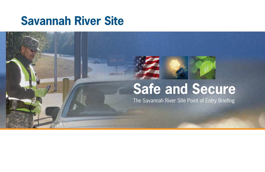# **Savannah River Site**

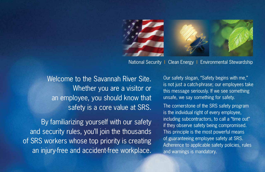

National Security | Clean Energy | Environmental Stewardship

Welcome to the Savannah River Site. Whether you are a visitor or an employee, you should know that safety is a core value at SRS.

By familiarizing yourself with our safety and security rules, you'll join the thousands of SRS workers whose top priority is creating an injury-free and accident-free workplace. Our safety slogan, "Safety begins with me," is not just a catch-phrase; our employees take this message seriously. If we see something unsafe, we say something for safety.

The cornerstone of the SRS safety program is the individual right of every employee, including subcontractors, to call a "time out" if they observe safety being compromised. This principle is the most powerful means of guaranteeing employee safety at SRS. Adherence to applicable safety policies, rules and warnings is mandatory.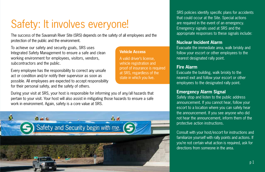### Safety: It involves everyone!

The success of the Savannah River Site (SRS) depends on the safety of all employees and the protection of the public and the environment.

> **Vehicle Access** A valid driver's license, vehicle registration and proof of insurance is required at SRS, regardless of the state in which you live.

To achieve our safety and security goals, SRS uses Integrated Safety Management to ensure a safe and clean working environment for employees, visitors, vendors, subcontractors and the public.

Every employee has the responsibility to correct any unsafe act or condition and/or notify their supervisor as soon as possible. All employees are expected to accept responsibility for their personal safety, and the safety of others.

During your visit at SRS, your host is responsible for informing you of any/all hazards that pertain to your visit. Your host will also assist in mitigating those hazards to ensure a safe work in environment. Again, safety is a core value at SRS.



SRS policies identify specific plans for accidents that could occur at the Site. Special actions are required in the event of an emergency. Emergency signals used at SRS and the appropriate responses to these signals include:

#### **Nuclear Incident Alarm**

Evacuate the immediate area, walk briskly and follow your escort or other employees to the nearest designated rally point.

#### **Fire Alarm**

Evacuate the building, walk briskly to the nearest exit and follow your escort or other employees to the designated rally point.

#### **Emergency Alarm Signal**

Safely stop and listen to the public address announcement. If you cannot hear, follow your escort to a location where you can safely hear the announcement. If you see anyone who did not hear the announcement, inform them of the protective action instructions.

Consult with your host/escort for instructions and familiarize yourself with rally points and actions. If you're not certain what action is required, ask for directions from someone in the area.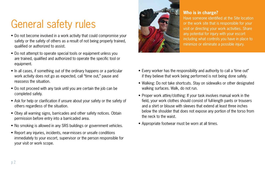## General safety rules

- Do not become involved in a work activity that could compromise your safety or the safety of others as a result of not being properly trained, qualified or authorized to assist.
- Do not attempt to operate special tools or equipment unless you are trained, qualified and authorized to operate the specific tool or equipment.
- In all cases, if something out of the ordinary happens or a particular work activity does not go as expected, call "time out," pause and reassess the situation.
- Do not proceed with any task until you are certain the job can be completed safely.
- Ask for help or clarification if unsure about your safety or the safety of others regardless of the situation.
- Obey all warning signs, barricades and other safety notices. Obtain permission before entry into a barricaded area.
- No smoking is allowed in any SRS buildings or government vehicles.
- Report any injuries, incidents, near-misses or unsafe conditions immediately to your escort, supervisor or the person responsible for your visit or work scope.



#### **Who is in charge?**

Have someone identified at the Site location or the work site that is responsible for your visit or directing your work activities. Share any potential for injury with your escort including what controls you have in place to minimize or eliminate a possible injury.

- Every worker has the responsibility and authority to call a 'time out" if they believe that work being performed is not being done safely.
- Walking: Do not take shortcuts. Stay on sidewalks or other designated walking surfaces. Walk, do not run.
- Proper work attire/clothing: If your task involves manual work in the field, your work clothes should consist of full-length pants or trousers and a shirt or blouse with sleeves that extend at least three inches below the shoulder that does not expose any portion of the torso from the neck to the waist.
- Appropriate footwear must be worn at all times.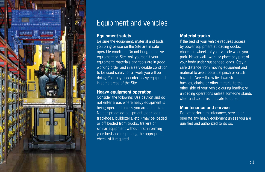

### Equipment and vehicles

#### **Equipment safety**

Be sure the equipment, material and tools you bring or use on the Site are in safe operable condition. Do not bring defective equipment on Site. Ask yourself if your equipment, materials and tools are in good working order and in a serviceable condition to be used safely for all work you will be doing. You may encounter heavy equipment in some areas of the Site.

#### **Heavy equipment operation**

Consider the following: Use caution and do not enter areas where heavy equipment is being operated unless you are authorized. No self-propelled equipment (backhoes, trackhoes, bulldozers, etc.) may be loaded or off loaded from trucks, trailers or similar equipment without first informing your host and requesting the appropriate checklist if required.

#### **Material trucks**

If the bed of your vehicle requires access by power equipment at loading docks, chock the wheels of your vehicle when you park. Never walk, work or place any part of your body under suspended loads. Stay a safe distance from moving equipment and material to avoid potential pinch or crush hazards. Never throw tie-down straps, buckles, chains or other material to the other side of your vehicle during loading or unloading operations unless someone stands clear and confirms it is safe to do so.

#### **Maintenance and service**

Do not perform maintenance, service or operate any heavy equipment unless you are qualified and authorized to do so.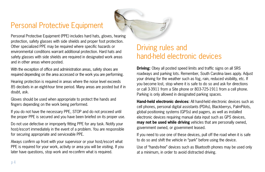### Personal Protective Equipment



Personal Protective Equipment (PPE) includes hard hats, gloves, hearing protection, safety glasses with side shields and proper foot protection. Other specialized PPE may be required where specific hazards or environmental conditions warrant additional protection. Hard hats and safety glasses with side shields are required in designated work areas and in other areas where posted.

With the exception of office and administration areas, safety shoes are required depending on the area accessed or the work you are performing.

Hearing protection is required in areas where the noise level exceeds 85 decibels in an eight-hour time period. Many areas are posted but if in doubt, ask.

Gloves should be used when appropriate to protect the hands and fingers depending on the work being performed.

If you do not have the necessary PPE, STOP and do not proceed until the proper PPE is secured and you have been briefed on its proper use.

Do not use defective or improperly fitting PPE for any task. Notify your host/escort immediately in the event of a problem. You are responsible for securing appropriate and serviceable PPE.

Always confirm up front with your supervisor or your host/escort what PPE is required for your work, activity or area you will be visiting. If you later have questions, stop work and re-confirm what is required.

### Driving rules and hand-held electronic devices

**Driving:** Obey all posted speed limits and traffic signs on all SRS roadways and parking lots. Remember, South Carolina laws apply. Adjust your driving for the weather such as fog, rain, reduced visibility, etc. If you become lost, stop where it is safe to do so and ask for directions or call 3-3911 from a Site phone or 803-725-1911 from a cell phone. Parking is only allowed in designated parking spaces.

**Hand-held electronic devices:** All hand-held electronic devices such as cell phones, personal digital assistants (PDAs), Blackberrys, PalmPilots, global positioning systems (GPSs) and pagers, as well as installed electronic devices requiring manual data input such as GPS devices, **may not be used while driving** vehicles that are personally owned, government owned, or government leased.

If you need to use one of these devices, pull off the road when it is safe to do so and shift the vehicle in "park" before using the device.

Use of "hands-free" devices such as Bluetooth phones may be used only at a minimum, in order to avoid distracted driving.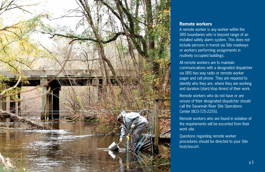

#### **Remote workers**

A remote worker is any worker within the SRS boundaries who is beyond range of an installed safety alarm system. This does not include persons in transit via Site roadways or workers performing assignments in routinely occupied buildings.

All remote workers are to maintain communications with a designated dispatcher via SRS two way radio or remote worker pager and cell phone. They are required to identify who they are, where they are working and duration (start/stop times) of their work.

Remote workers who do not have or are unsure of their designated dispatcher should call the Savannah River Site Operations Center (803-725-2255).

Remote workers who are found in violation of the requirements will be escorted from their work site.

Questions regarding remote worker procedures should be directed to your Site host/escort.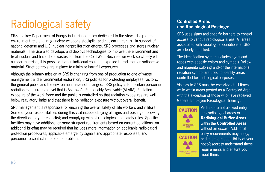## Radiological safety

SRS is a key Department of Energy industrial complex dedicated to the stewardship of the environment, the enduring nuclear weapons stockpile, and nuclear materials. In support of national defense and U.S. nuclear nonproliferation efforts, SRS processes and stores nuclear materials. The Site also develops and deploys technologies to improve the environment and treat nuclear and hazardous wastes left from the Cold War. Because we work so closely with nuclear materials, it is possible that an individual could be exposed to radiation or radioactive material. Strict controls are in place to minimize harmful exposures.

Although the primary mission at SRS is changing from one of production to one of waste management and environmental restoration, SRS policies for protecting employees, visitors, the general public and the environment have not changed. SRS policy is to maintain personnel radiation exposure to a level that is As Low As Reasonably Achievable (ALARA). Radiation exposure of the work force and the public is controlled so that radiation exposures are well below regulatory limits and that there is no radiation exposure without overall benefit.

SRS management is responsible for ensuring the overall safety of site workers and visitors. Some of your responsibilities during this visit include obeying all signs and postings; following the directions of your escort(s); and complying with all radiological and safety rules. Specific facilities may have additional or more stringent requirements based on current conditions. An additional briefing may be required that includes more information on applicable radiological protection procedures, applicable emergency signals and appropriate responses, and personnel to contact in case of a problem.

#### **Controlled Areas and Radiological Postings:**

SRS uses signs and specific barriers to control access to various radiological areas. All areas associated with radiological conditions at SRS are clearly identified.

The identification system includes signs and ropes with specific colors and symbols. Yellow and magenta coloring and/or the international radiation symbol are used to identify areas controlled for radiological purposes.

Visitors to SRS must be escorted at all times while within areas posted as a Controlled Area with the exception of those who have received General Employee Radiological Training.





Visitors are not allowed entry into radiological areas or **Radiological Buffer Areas** within the **Controlled Areas** without an escort. Additional entry requirements may apply, and it is the responsibility of your host/escort to understand these requirements and ensure you meet them.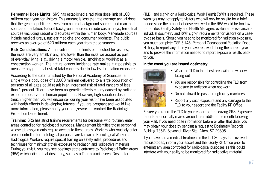**Personnel Dose Limits:** SRS has established a radiation dose limit of 100 millirem each year for visitors. This amount is less than the average annual dose that the general public receives from natural background sources and man-made sources of radiation. Natural background sources include cosmic rays, terrestrial sources (including radon) and sources within the human body. Man-made sources include medical x-rays, nuclear medicine and consumer products. The public receives an average of 620 millirem each year from these sources.

**Risk Considerations:** At the radiation dose limits established for visitors, the risks are very small, if any, and lower than the risks we accept as part of everyday living (e.g., driving a motor vehicle, smoking or working as a construction worker.) The natural cancer incidence rate makes it impossible to measure any potential risk of fatal cancers due to low-level radiation exposures.

According to the data furnished by the National Academy of Sciences, a single whole body dose of 10,000 millirem delivered to a large population of persons of all ages could result in an increased risk of fatal cancers of less than 1 percent. There have been no genetic effects clearly caused by radiation exposure observed in human populations. However, high radiation doses (much higher than you will encounter during your visit) have been associated with health effects in developing fetuses. If you are pregnant and would like more information, please notify your host/escort or contact the Radiological Protection Department.

**Training:** SRS has strict training requirements for personnel who routinely enter areas controlled for radiological purposes. Management identifies those personnel whose job assignments require access to these areas. Workers who routinely enter areas controlled for radiological purposes are known as Radiological Workers. Radiological Workers require special training on safety rules, procedures and techniques for minimizing their exposure to radiation and radioactive materials. During your visit, you may see postings at the entrance to Radiological Buffer Areas (RBA) which indicate that dosimetry, such as a Thermoluminescent Dosimeter

(TLD), and sign-in on a Radiological Work Permit (RWP) is required. These warnings may not apply to visitors who will only be on site for a brief period since the amount of dose received in the RBA would be too low to monitor. Facility Safety and Health Managers evaluate the issuance of individual dosimetry and RWP sign-in requirements for visitors on a caseby-case basis. Should you need to be monitored for radiation exposure, you must complete OSR 5-145, Personal Occupational Radiation Dose History, to report any dose you have received during the current year and to provide the information needed to report exposure results back to you.

#### **In the event you are issued dosimetry:**



- Wear the TLD in the chest area with the window facing out
- You are responsible for controlling the TLD from exposure to radiation when not worn
- Do not allow it to pass through x-ray machines
- Report any such exposure and any damage to the TLD to your escort and the Facility RP Office

Ensure you return the TLD to your escort before leaving SRS. Exposure reports are normally mailed around the middle of the month following your visit. If you need dose information before or after that date, you may obtain your dose by sending a request to Dosimetry Records, Building 735-B, Savannah River Site, Aiken, SC 29808.

If you have had a medical treatment in the last 30 days that involved radioisotopes, inform your escort and the Facility RP Office prior to entering any area controlled for radiological purposes as this could interfere with your ability to be monitored for radioactive material.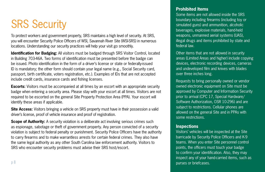# SRS Security

To protect workers and government property, SRS maintains a high level of security. At SRS, you will encounter Security Police Officers of WSI, Savannah River Site (WSI-SRS) in numerous locations. Understanding our security practices will help your visit go smoothly.

**Identification for Badging:** All visitors must be badged through SRS Visitor Control, located in Building 703-46A. Two forms of identification must be presented before the badge can be issued. Photo identification in the form of a driver's license or state or federally-issued ID is mandatory; the other form should contain your legal name (e.g., Social Security card, passport, birth certificate, voters registration, etc.). Examples of IDs that are not accepted include credit cards, insurance cards and fishing licenses.

**Escorts:** Visitors must be accompanied at all times by an escort with an appropriate security badge when entering a security area. Please stay with your escort at all times. Visitors are not required to be escorted on the general Site Property Protection Area (PPA). Your escort will identify these areas if applicable.

**Site Access:** Visitors bringing a vehicle on SRS property must have in their possession a valid driver's license, proof of vehicle insurance and proof of registration.

**Scope of Authority:** A security violation is a deliberate act involving serious crimes such as espionage, sabotage or theft of government property. Any person convicted of a security violation is subject to federal penalty or punishment. Security Police Officers have the authority to carry firearms and to make warrantless arrests for certain federal crimes. They also have the same legal authority as any other South Carolina law enforcement authority. Visitors to SRS who encounter security problems must advise their SRS host/escort.

#### **Prohibited Items**

Some items are not allowed inside the SRS boundary including firearms (including toy or simulated guns) and ammunition, alcoholic beverages, explosive materials, hand-held weapons, unmanned aerial systems (UAS), illegal drugs and items prohibited by state and federal law.

Other items that are not allowed in security areas (Limited Areas and higher) include copying devices, electronic recording devices, cameras and undeveloped film and knives with blades over three inches long.

Requests to bring personally owned or vendor owned electronic equipment on Site must be approved by Computer and Information Security prior to arrival (CPC 17, Special Hardware/ Software Authorization, OSR 10-296) and are subject to restrictions. Cellular phones are allowed on the general Site and in PPAs with some restrictions.

#### **Inspections**

Visitors' vehicles will be inspected at the Site barricade by Security Police Officers and K-9 teams. When you enter Site personnel control points, the officers must touch your badge to confirm your identification. Also, they may inspect any of your hand-carried items, such as purses or briefcases.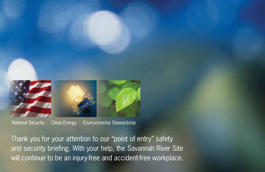





National Security | Clean Energy | Environmental Stewardship

Thank you for your attention to our "point of entry" safety and security briefing. With your help, the Savannah River Site will continue to be an injury-free and accident-free workplace.